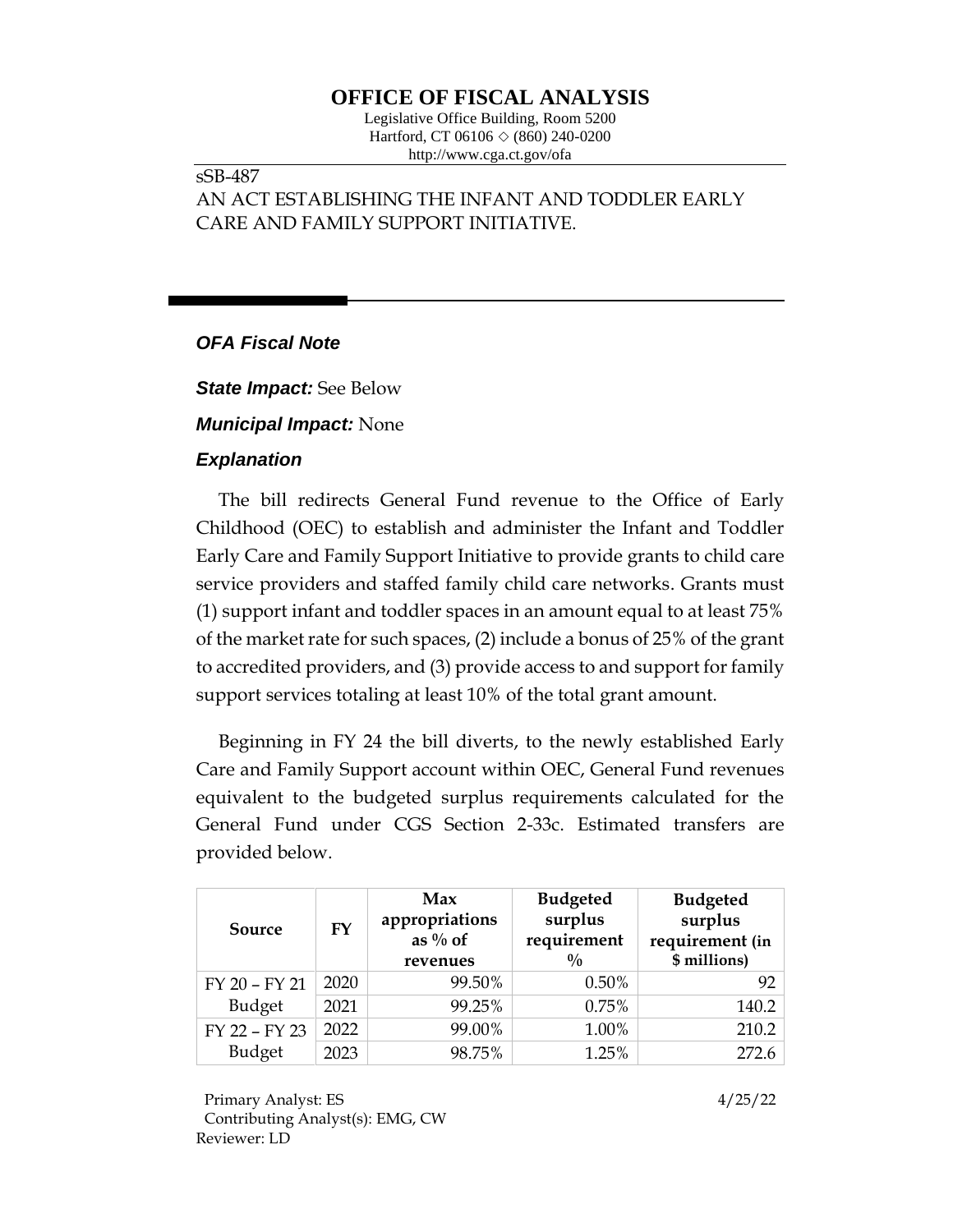# **OFFICE OF FISCAL ANALYSIS**

Legislative Office Building, Room 5200 Hartford, CT 06106  $\Diamond$  (860) 240-0200 http://www.cga.ct.gov/ofa

### sSB-487

## AN ACT ESTABLISHING THE INFANT AND TODDLER EARLY CARE AND FAMILY SUPPORT INITIATIVE.

## *OFA Fiscal Note*

*State Impact:* See Below

### *Municipal Impact:* None

#### *Explanation*

The bill redirects General Fund revenue to the Office of Early Childhood (OEC) to establish and administer the Infant and Toddler Early Care and Family Support Initiative to provide grants to child care service providers and staffed family child care networks. Grants must (1) support infant and toddler spaces in an amount equal to at least 75% of the market rate for such spaces, (2) include a bonus of 25% of the grant to accredited providers, and (3) provide access to and support for family support services totaling at least 10% of the total grant amount.

Beginning in FY 24 the bill diverts, to the newly established Early Care and Family Support account within OEC, General Fund revenues equivalent to the budgeted surplus requirements calculated for the General Fund under CGS Section 2-33c. Estimated transfers are provided below.

|  | Source        | FY   | Max<br>appropriations<br>as $\%$ of<br>revenues | <b>Budgeted</b><br>surplus<br>requirement<br>$\frac{0}{0}$ | <b>Budgeted</b><br>surplus<br>requirement (in<br>\$ millions) |
|--|---------------|------|-------------------------------------------------|------------------------------------------------------------|---------------------------------------------------------------|
|  | FY 20 - FY 21 | 2020 | 99.50%                                          | 0.50%                                                      | 92                                                            |
|  | Budget        | 2021 | 99.25%                                          | 0.75%                                                      | 140.2                                                         |
|  | FY 22 - FY 23 | 2022 | 99.00%                                          | 1.00%                                                      | 210.2                                                         |
|  | Budget        | 2023 | 98.75%                                          | 1.25%                                                      | 272.6                                                         |

Primary Analyst: ES 4/25/22 Contributing Analyst(s): EMG, CW Reviewer: LD